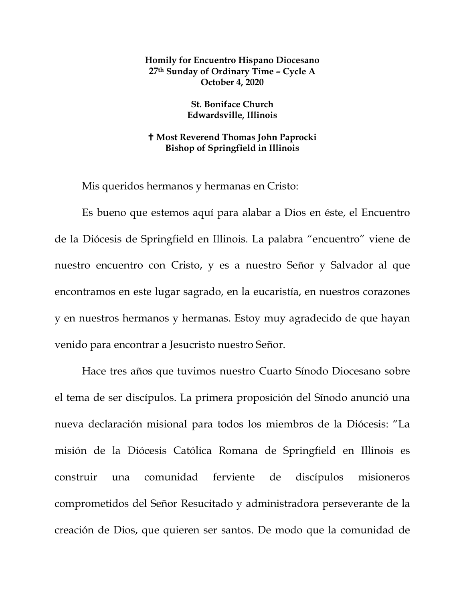## **Homily for Encuentro Hispano Diocesano 27th Sunday of Ordinary Time – Cycle A October 4, 2020**

## **St. Boniface Church Edwardsville, Illinois**

## **Most Reverend Thomas John Paprocki Bishop of Springfield in Illinois**

Mis queridos hermanos y hermanas en Cristo:

Es bueno que estemos aquí para alabar a Dios en éste, el Encuentro de la Diócesis de Springfield en Illinois. La palabra "encuentro" viene de nuestro encuentro con Cristo, y es a nuestro Señor y Salvador al que encontramos en este lugar sagrado, en la eucaristía, en nuestros corazones y en nuestros hermanos y hermanas. Estoy muy agradecido de que hayan venido para encontrar a Jesucristo nuestro Señor.

Hace tres años que tuvimos nuestro Cuarto Sínodo Diocesano sobre el tema de ser discípulos. La primera proposición del Sínodo anunció una nueva declaración misional para todos los miembros de la Diócesis: "La misión de la Diócesis Católica Romana de Springfield en Illinois es construir una comunidad ferviente de discípulos misioneros comprometidos del Señor Resucitado y administradora perseverante de la creación de Dios, que quieren ser santos. De modo que la comunidad de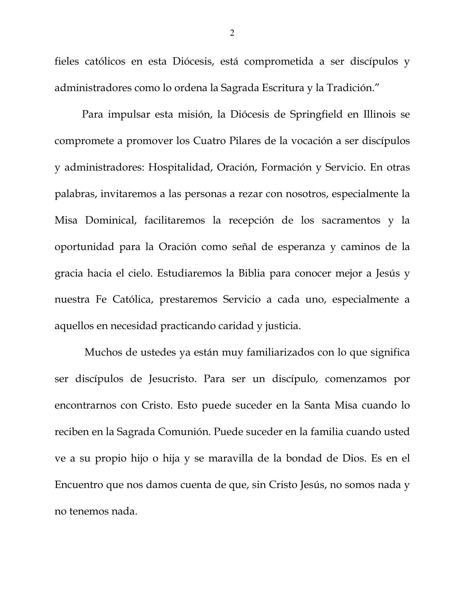fieles católicos en esta Diócesis, está comprometida a ser discípulos y administradores como lo ordena la Sagrada Escritura y la Tradición."

Para impulsar esta misión, la Diócesis de Springfield en Illinois se compromete a promover los Cuatro Pilares de la vocación a ser discípulos y administradores: Hospitalidad, Oración, Formación y Servicio. En otras palabras, invitaremos a las personas a rezar con nosotros, especialmente la Misa Dominical, facilitaremos la recepción de los sacramentos y la oportunidad para la Oración como señal de esperanza y caminos de la gracia hacia el cielo. Estudiaremos la Biblia para conocer mejor a Jesús y nuestra Fe Católica, prestaremos Servicio a cada uno, especialmente a aquellos en necesidad practicando caridad y justicia.

Muchos de ustedes ya están muy familiarizados con lo que significa ser discípulos de Jesucristo. Para ser un discípulo, comenzamos por encontrarnos con Cristo. Esto puede suceder en la Santa Misa cuando lo reciben en la Sagrada Comunión. Puede suceder en la familia cuando usted ve a su propio hijo o hija y se maravilla de la bondad de Dios. Es en el Encuentro que nos damos cuenta de que, sin Cristo Jesús, no somos nada y no tenemos nada.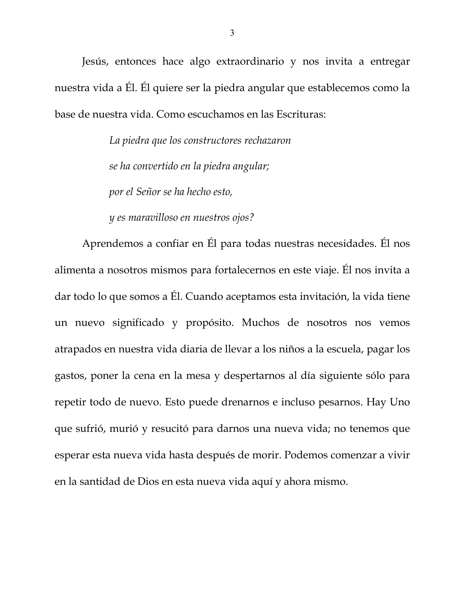Jesús, entonces hace algo extraordinario y nos invita a entregar nuestra vida a Él. Él quiere ser la piedra angular que establecemos como la base de nuestra vida. Como escuchamos en las Escrituras:

> *La piedra que los constructores rechazaron se ha convertido en la piedra angular; por el Señor se ha hecho esto,*

*y es maravilloso en nuestros ojos?*

Aprendemos a confiar en Él para todas nuestras necesidades. Él nos alimenta a nosotros mismos para fortalecernos en este viaje. Él nos invita a dar todo lo que somos a Él. Cuando aceptamos esta invitación, la vida tiene un nuevo significado y propósito. Muchos de nosotros nos vemos atrapados en nuestra vida diaria de llevar a los niños a la escuela, pagar los gastos, poner la cena en la mesa y despertarnos al día siguiente sólo para repetir todo de nuevo. Esto puede drenarnos e incluso pesarnos. Hay Uno que sufrió, murió y resucitó para darnos una nueva vida; no tenemos que esperar esta nueva vida hasta después de morir. Podemos comenzar a vivir en la santidad de Dios en esta nueva vida aquí y ahora mismo.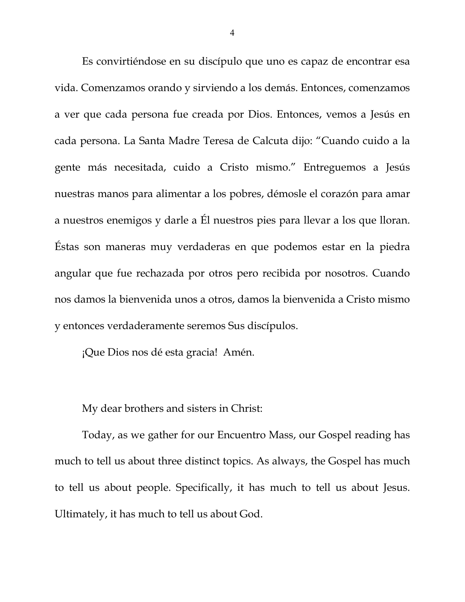Es convirtiéndose en su discípulo que uno es capaz de encontrar esa vida. Comenzamos orando y sirviendo a los demás. Entonces, comenzamos a ver que cada persona fue creada por Dios. Entonces, vemos a Jesús en cada persona. La Santa Madre Teresa de Calcuta dijo: "Cuando cuido a la gente más necesitada, cuido a Cristo mismo." Entreguemos a Jesús nuestras manos para alimentar a los pobres, démosle el corazón para amar a nuestros enemigos y darle a Él nuestros pies para llevar a los que lloran. Éstas son maneras muy verdaderas en que podemos estar en la piedra angular que fue rechazada por otros pero recibida por nosotros. Cuando nos damos la bienvenida unos a otros, damos la bienvenida a Cristo mismo y entonces verdaderamente seremos Sus discípulos.

¡Que Dios nos dé esta gracia! Amén.

My dear brothers and sisters in Christ:

Today, as we gather for our Encuentro Mass, our Gospel reading has much to tell us about three distinct topics. As always, the Gospel has much to tell us about people. Specifically, it has much to tell us about Jesus. Ultimately, it has much to tell us about God.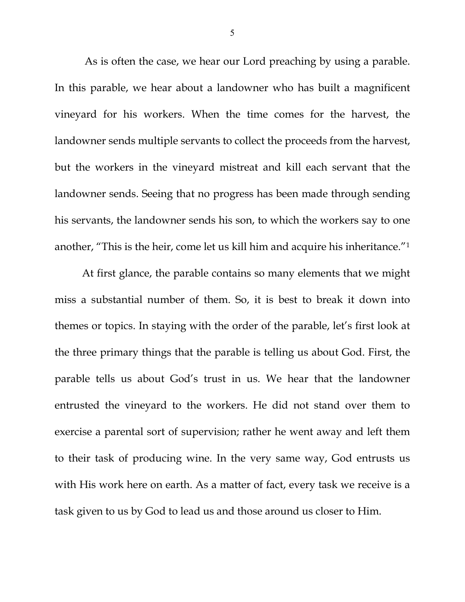As is often the case, we hear our Lord preaching by using a parable. In this parable, we hear about a landowner who has built a magnificent vineyard for his workers. When the time comes for the harvest, the landowner sends multiple servants to collect the proceeds from the harvest, but the workers in the vineyard mistreat and kill each servant that the landowner sends. Seeing that no progress has been made through sending his servants, the landowner sends his son, to which the workers say to one another, "This is the heir, come let us kill him and acquire his inheritance."[1](#page-8-0)

At first glance, the parable contains so many elements that we might miss a substantial number of them. So, it is best to break it down into themes or topics. In staying with the order of the parable, let's first look at the three primary things that the parable is telling us about God. First, the parable tells us about God's trust in us. We hear that the landowner entrusted the vineyard to the workers. He did not stand over them to exercise a parental sort of supervision; rather he went away and left them to their task of producing wine. In the very same way, God entrusts us with His work here on earth. As a matter of fact, every task we receive is a task given to us by God to lead us and those around us closer to Him.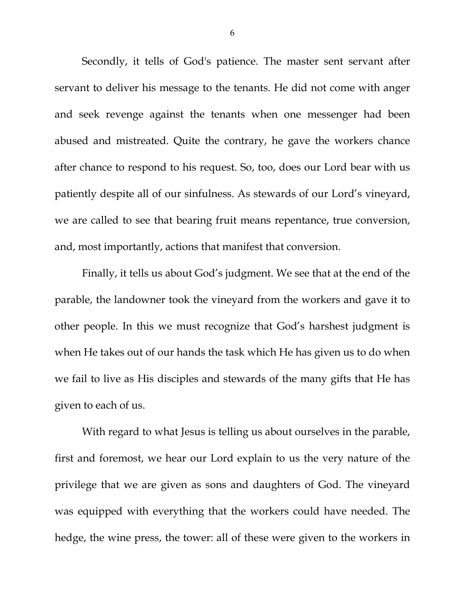Secondly, it tells of God's patience. The master sent servant after servant to deliver his message to the tenants. He did not come with anger and seek revenge against the tenants when one messenger had been abused and mistreated. Quite the contrary, he gave the workers chance after chance to respond to his request. So, too, does our Lord bear with us patiently despite all of our sinfulness. As stewards of our Lord's vineyard, we are called to see that bearing fruit means repentance, true conversion, and, most importantly, actions that manifest that conversion.

Finally, it tells us about God's judgment. We see that at the end of the parable, the landowner took the vineyard from the workers and gave it to other people. In this we must recognize that God's harshest judgment is when He takes out of our hands the task which He has given us to do when we fail to live as His disciples and stewards of the many gifts that He has given to each of us.

With regard to what Jesus is telling us about ourselves in the parable, first and foremost, we hear our Lord explain to us the very nature of the privilege that we are given as sons and daughters of God. The vineyard was equipped with everything that the workers could have needed. The hedge, the wine press, the tower: all of these were given to the workers in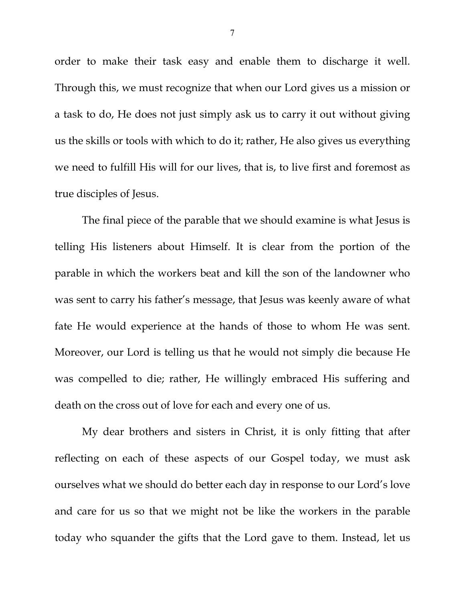order to make their task easy and enable them to discharge it well. Through this, we must recognize that when our Lord gives us a mission or a task to do, He does not just simply ask us to carry it out without giving us the skills or tools with which to do it; rather, He also gives us everything we need to fulfill His will for our lives, that is, to live first and foremost as true disciples of Jesus.

The final piece of the parable that we should examine is what Jesus is telling His listeners about Himself. It is clear from the portion of the parable in which the workers beat and kill the son of the landowner who was sent to carry his father's message, that Jesus was keenly aware of what fate He would experience at the hands of those to whom He was sent. Moreover, our Lord is telling us that he would not simply die because He was compelled to die; rather, He willingly embraced His suffering and death on the cross out of love for each and every one of us.

My dear brothers and sisters in Christ, it is only fitting that after reflecting on each of these aspects of our Gospel today, we must ask ourselves what we should do better each day in response to our Lord's love and care for us so that we might not be like the workers in the parable today who squander the gifts that the Lord gave to them. Instead, let us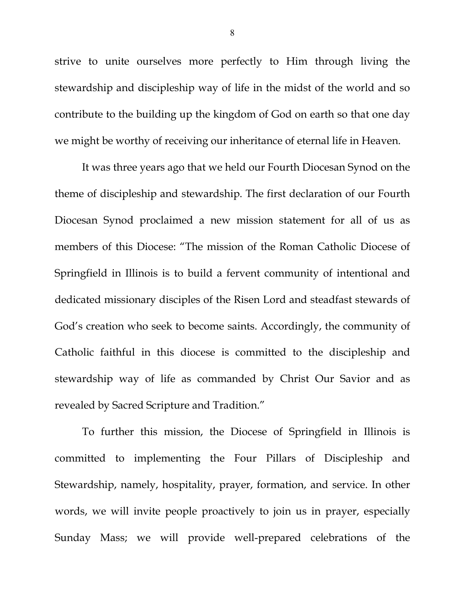strive to unite ourselves more perfectly to Him through living the stewardship and discipleship way of life in the midst of the world and so contribute to the building up the kingdom of God on earth so that one day we might be worthy of receiving our inheritance of eternal life in Heaven.

It was three years ago that we held our Fourth Diocesan Synod on the theme of discipleship and stewardship. The first declaration of our Fourth Diocesan Synod proclaimed a new mission statement for all of us as members of this Diocese: "The mission of the Roman Catholic Diocese of Springfield in Illinois is to build a fervent community of intentional and dedicated missionary disciples of the Risen Lord and steadfast stewards of God's creation who seek to become saints. Accordingly, the community of Catholic faithful in this diocese is committed to the discipleship and stewardship way of life as commanded by Christ Our Savior and as revealed by Sacred Scripture and Tradition."

To further this mission, the Diocese of Springfield in Illinois is committed to implementing the Four Pillars of Discipleship and Stewardship, namely, hospitality, prayer, formation, and service. In other words, we will invite people proactively to join us in prayer, especially Sunday Mass; we will provide well-prepared celebrations of the